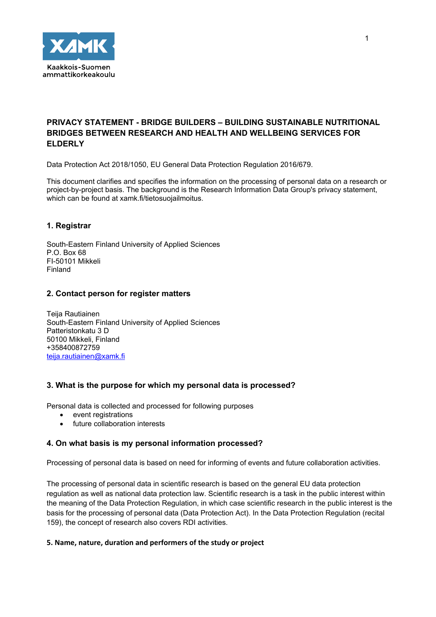

# **PRIVACY STATEMENT - BRIDGE BUILDERS – BUILDING SUSTAINABLE NUTRITIONAL BRIDGES BETWEEN RESEARCH AND HEALTH AND WELLBEING SERVICES FOR ELDERLY**

Data Protection Act 2018/1050, EU General Data Protection Regulation 2016/679.

This document clarifies and specifies the information on the processing of personal data on a research or project-by-project basis. The background is the Research Information Data Group's privacy statement, which can be found at xamk.fi/tietosuojailmoitus.

## **1. Registrar**

South-Eastern Finland University of Applied Sciences P.O. Box 68 FI-50101 Mikkeli Finland

## **2. Contact person for register matters**

Teija Rautiainen South-Eastern Finland University of Applied Sciences Patteristonkatu 3 D 50100 Mikkeli, Finland +358400872759 [teija.rautiainen@xamk.fi](mailto:teija.rautiainen@xamk.fi)

## **3. What is the purpose for which my personal data is processed?**

Personal data is collected and processed for following purposes

- event registrations
- future collaboration interests

## **4. On what basis is my personal information processed?**

Processing of personal data is based on need for informing of events and future collaboration activities.

The processing of personal data in scientific research is based on the general EU data protection regulation as well as national data protection law. Scientific research is a task in the public interest within the meaning of the Data Protection Regulation, in which case scientific research in the public interest is the basis for the processing of personal data (Data Protection Act). In the Data Protection Regulation (recital 159), the concept of research also covers RDI activities.

## **5. Name, nature, duration and performers of the study or project**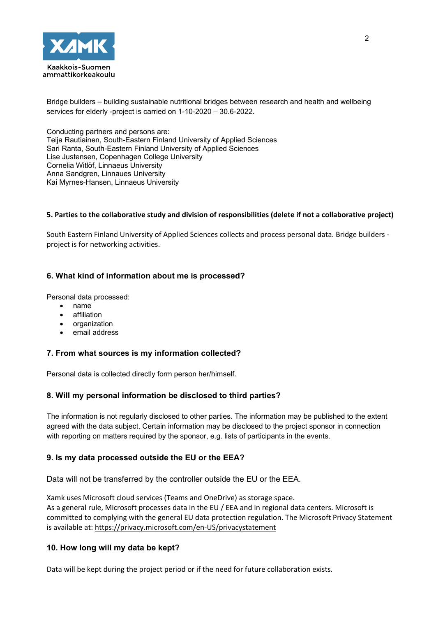

Bridge builders – building sustainable nutritional bridges between research and health and wellbeing services for elderly -project is carried on 1-10-2020 – 30.6-2022.

Conducting partners and persons are: Teija Rautiainen, South-Eastern Finland University of Applied Sciences Sari Ranta, South-Eastern Finland University of Applied Sciences Lise Justensen, Copenhagen College University Cornelia Witlöf, Linnaeus University Anna Sandgren, Linnaues University Kai Myrnes-Hansen, Linnaeus University

## **5. Parties to the collaborative study and division of responsibilities (delete if not a collaborative project)**

South Eastern Finland University of Applied Sciences collects and process personal data. Bridge builders project is for networking activities.

## **6. What kind of information about me is processed?**

Personal data processed:

- name
- affiliation
- organization
- email address

## **7. From what sources is my information collected?**

Personal data is collected directly form person her/himself.

## **8. Will my personal information be disclosed to third parties?**

The information is not regularly disclosed to other parties. The information may be published to the extent agreed with the data subject. Certain information may be disclosed to the project sponsor in connection with reporting on matters required by the sponsor, e.g. lists of participants in the events.

## **9. Is my data processed outside the EU or the EEA?**

Data will not be transferred by the controller outside the EU or the EEA.

Xamk uses Microsoft cloud services (Teams and OneDrive) as storage space. As a general rule, Microsoft processes data in the EU / EEA and in regional data centers. Microsoft is committed to complying with the general EU data protection regulation. The Microsoft Privacy Statement is available at[: https://privacy.microsoft.com/en-US/privacystatement](https://privacy.microsoft.com/fi-FI/privacystatement)

## **10. How long will my data be kept?**

Data will be kept during the project period or if the need for future collaboration exists.